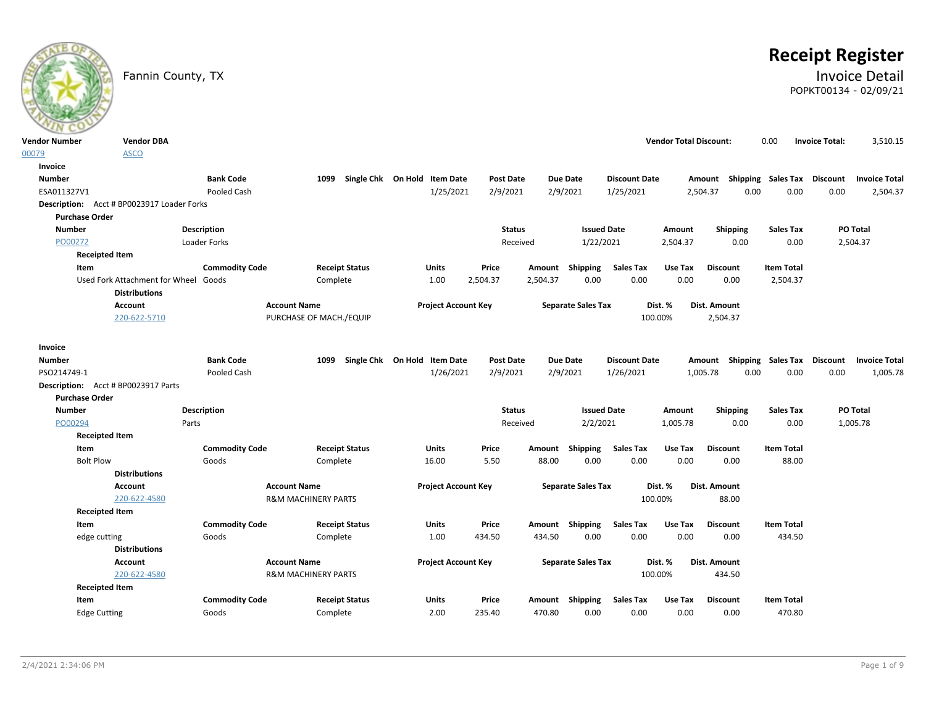# **Receipt Register**

## Fannin County, TX **Invoice Detail** POPKT00134 - 02/09/21

| ___                                    |                                                   |                                    |                                |                                   |                           |          |                                 |                      |                               |                                                  |                          |                       |                      |
|----------------------------------------|---------------------------------------------------|------------------------------------|--------------------------------|-----------------------------------|---------------------------|----------|---------------------------------|----------------------|-------------------------------|--------------------------------------------------|--------------------------|-----------------------|----------------------|
| <b>Vendor Number</b>                   | <b>Vendor DBA</b>                                 |                                    |                                |                                   |                           |          |                                 |                      | <b>Vendor Total Discount:</b> |                                                  | 0.00                     | <b>Invoice Total:</b> | 3,510.15             |
| 00079                                  | <b>ASCO</b>                                       |                                    |                                |                                   |                           |          |                                 |                      |                               |                                                  |                          |                       |                      |
| Invoice                                |                                                   |                                    |                                |                                   |                           |          |                                 |                      |                               |                                                  |                          |                       |                      |
| <b>Number</b>                          |                                                   | <b>Bank Code</b>                   |                                | 1099 Single Chk On Hold Item Date | Post Date                 |          | <b>Due Date</b>                 | <b>Discount Date</b> |                               | Amount Shipping Sales Tax Discount Invoice Total |                          |                       |                      |
| ESA011327V1                            |                                                   | Pooled Cash                        |                                | 1/25/2021                         | 2/9/2021                  |          | 2/9/2021                        | 1/25/2021            |                               | 2,504.37<br>0.00                                 | 0.00                     | 0.00                  | 2,504.37             |
|                                        | <b>Description:</b> Acct # BP0023917 Loader Forks |                                    |                                |                                   |                           |          |                                 |                      |                               |                                                  |                          |                       |                      |
| <b>Purchase Order</b><br><b>Number</b> |                                                   |                                    |                                |                                   |                           |          |                                 |                      |                               |                                                  |                          |                       |                      |
| PO00272                                |                                                   | <b>Description</b><br>Loader Forks |                                |                                   | <b>Status</b><br>Received |          | <b>Issued Date</b><br>1/22/2021 |                      | Amount<br>2,504.37            | Shipping<br>0.00                                 | <b>Sales Tax</b><br>0.00 |                       | PO Total<br>2,504.37 |
| <b>Receipted Item</b>                  |                                                   |                                    |                                |                                   |                           |          |                                 |                      |                               |                                                  |                          |                       |                      |
| Item                                   |                                                   | <b>Commodity Code</b>              | <b>Receipt Status</b>          | Units                             | Price                     |          | Amount Shipping                 | <b>Sales Tax</b>     | Use Tax                       | <b>Discount</b>                                  | <b>Item Total</b>        |                       |                      |
|                                        | Used Fork Attachment for Wheel Goods              |                                    | Complete                       | 1.00                              | 2,504.37                  | 2,504.37 | 0.00                            | 0.00                 | 0.00                          | 0.00                                             | 2,504.37                 |                       |                      |
|                                        | <b>Distributions</b>                              |                                    |                                |                                   |                           |          |                                 |                      |                               |                                                  |                          |                       |                      |
|                                        | <b>Account</b>                                    |                                    | <b>Account Name</b>            | <b>Project Account Key</b>        |                           |          | <b>Separate Sales Tax</b>       |                      | Dist. %                       | Dist. Amount                                     |                          |                       |                      |
|                                        | 220-622-5710                                      |                                    | PURCHASE OF MACH./EQUIP        |                                   |                           |          |                                 |                      | 100.00%                       | 2,504.37                                         |                          |                       |                      |
| Invoice                                |                                                   |                                    |                                |                                   |                           |          |                                 |                      |                               |                                                  |                          |                       |                      |
| <b>Number</b>                          |                                                   | <b>Bank Code</b>                   | 1099                           | Single Chk On Hold Item Date      | <b>Post Date</b>          |          | <b>Due Date</b>                 | <b>Discount Date</b> |                               | Amount Shipping Sales Tax Discount               |                          |                       | <b>Invoice Total</b> |
| PSO214749-1                            |                                                   | Pooled Cash                        |                                | 1/26/2021                         | 2/9/2021                  |          | 2/9/2021                        | 1/26/2021            |                               | 1,005.78<br>0.00                                 | 0.00                     | 0.00                  | 1,005.78             |
|                                        | <b>Description:</b> Acct # BP0023917 Parts        |                                    |                                |                                   |                           |          |                                 |                      |                               |                                                  |                          |                       |                      |
| <b>Purchase Order</b>                  |                                                   |                                    |                                |                                   |                           |          |                                 |                      |                               |                                                  |                          |                       |                      |
| <b>Number</b>                          |                                                   | <b>Description</b>                 |                                |                                   | <b>Status</b>             |          | <b>Issued Date</b>              |                      | Amount                        | Shipping                                         | <b>Sales Tax</b>         |                       | PO Total             |
| PO00294                                |                                                   | Parts                              |                                |                                   | Received                  |          | 2/2/2021                        |                      | 1,005.78                      | 0.00                                             | 0.00                     |                       | 1,005.78             |
| <b>Receipted Item</b>                  |                                                   |                                    |                                |                                   |                           |          |                                 |                      |                               |                                                  |                          |                       |                      |
| Item                                   |                                                   | <b>Commodity Code</b>              | <b>Receipt Status</b>          | Units                             | Price                     | Amount   | Shipping                        | <b>Sales Tax</b>     | Use Tax                       | <b>Discount</b>                                  | <b>Item Total</b>        |                       |                      |
| <b>Bolt Plow</b>                       |                                                   | Goods                              | Complete                       | 16.00                             | 5.50                      | 88.00    | 0.00                            | 0.00                 | 0.00                          | 0.00                                             | 88.00                    |                       |                      |
|                                        | <b>Distributions</b>                              |                                    |                                |                                   |                           |          |                                 |                      |                               |                                                  |                          |                       |                      |
|                                        | <b>Account</b>                                    |                                    | <b>Account Name</b>            | <b>Project Account Key</b>        |                           |          | <b>Separate Sales Tax</b>       |                      | Dist. %                       | Dist. Amount                                     |                          |                       |                      |
|                                        | 220-622-4580                                      |                                    | <b>R&amp;M MACHINERY PARTS</b> |                                   |                           |          |                                 |                      | 100.00%                       | 88.00                                            |                          |                       |                      |
| <b>Receipted Item</b>                  |                                                   |                                    |                                |                                   |                           |          |                                 |                      |                               |                                                  |                          |                       |                      |
| Item                                   |                                                   | <b>Commodity Code</b>              | <b>Receipt Status</b>          | Units                             | Price                     |          | Amount Shipping                 | <b>Sales Tax</b>     | Use Tax                       | <b>Discount</b>                                  | <b>Item Total</b>        |                       |                      |
| edge cutting                           |                                                   | Goods                              | Complete                       | 1.00                              | 434.50                    | 434.50   | 0.00                            | 0.00                 | 0.00                          | 0.00                                             | 434.50                   |                       |                      |
|                                        | <b>Distributions</b>                              |                                    |                                |                                   |                           |          |                                 |                      |                               |                                                  |                          |                       |                      |
|                                        | <b>Account</b>                                    |                                    | <b>Account Name</b>            | <b>Project Account Key</b>        |                           |          | <b>Separate Sales Tax</b>       |                      | Dist. %                       | Dist. Amount                                     |                          |                       |                      |
|                                        | 220-622-4580                                      |                                    | <b>R&amp;M MACHINERY PARTS</b> |                                   |                           |          |                                 |                      | 100.00%                       | 434.50                                           |                          |                       |                      |
| <b>Receipted Item</b>                  |                                                   |                                    |                                |                                   |                           |          |                                 |                      |                               |                                                  |                          |                       |                      |
| <b>Item</b>                            |                                                   | <b>Commodity Code</b>              | <b>Receipt Status</b>          | Units                             | Price                     |          | Amount Shipping                 | <b>Sales Tax</b>     | Use Tax                       | <b>Discount</b>                                  | <b>Item Total</b>        |                       |                      |
| <b>Edge Cutting</b>                    |                                                   | Goods                              | Complete                       | 2.00                              | 235.40                    | 470.80   | 0.00                            | 0.00                 | 0.00                          | 0.00                                             | 470.80                   |                       |                      |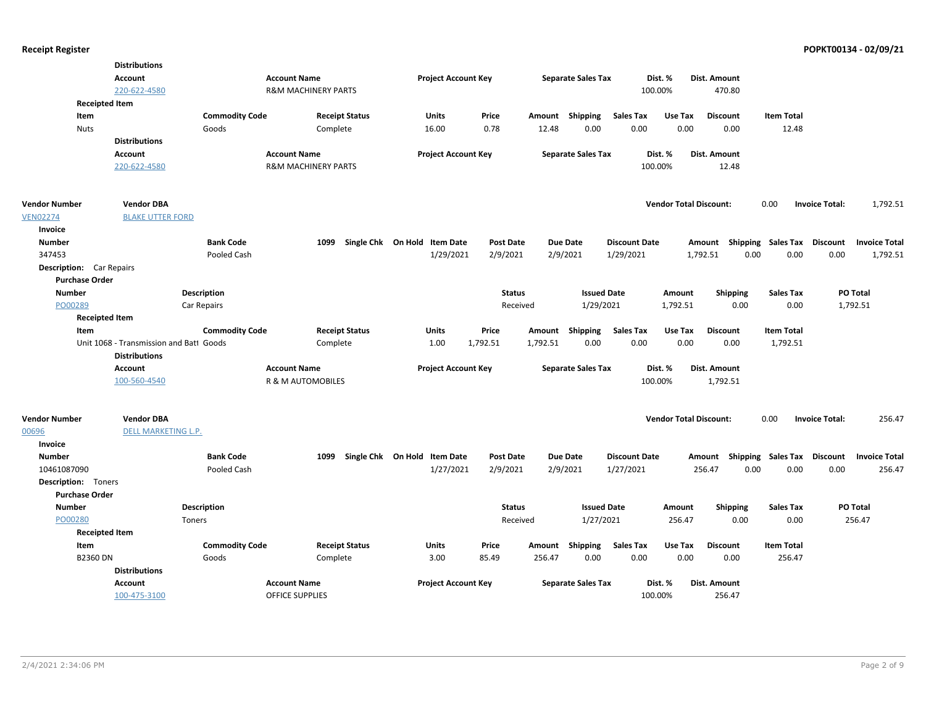|                                 | <b>Distributions</b>                    |                       |                                |                              |                            |                  |                           |                      |                               |                           |                    |                       |                      |
|---------------------------------|-----------------------------------------|-----------------------|--------------------------------|------------------------------|----------------------------|------------------|---------------------------|----------------------|-------------------------------|---------------------------|--------------------|-----------------------|----------------------|
|                                 | <b>Account</b>                          |                       | <b>Account Name</b>            |                              | <b>Project Account Key</b> |                  | <b>Separate Sales Tax</b> |                      | Dist. %                       | Dist. Amount              |                    |                       |                      |
|                                 | 220-622-4580                            |                       | <b>R&amp;M MACHINERY PARTS</b> |                              |                            |                  |                           | 100.00%              |                               | 470.80                    |                    |                       |                      |
| <b>Receipted Item</b>           |                                         |                       |                                |                              |                            |                  |                           |                      |                               |                           |                    |                       |                      |
| Item                            |                                         | <b>Commodity Code</b> | <b>Receipt Status</b>          | <b>Units</b>                 | Price                      |                  | Amount Shipping           | Sales Tax            | Use Tax                       | <b>Discount</b>           | <b>Item Total</b>  |                       |                      |
| <b>Nuts</b>                     |                                         | Goods                 | Complete                       | 16.00                        | 0.78                       | 12.48            | 0.00                      | 0.00                 | 0.00                          | 0.00                      | 12.48              |                       |                      |
|                                 | <b>Distributions</b>                    |                       |                                |                              |                            |                  |                           |                      |                               |                           |                    |                       |                      |
|                                 | <b>Account</b>                          |                       | <b>Account Name</b>            |                              | <b>Project Account Key</b> |                  | <b>Separate Sales Tax</b> |                      | Dist. %                       | Dist. Amount              |                    |                       |                      |
|                                 | 220-622-4580                            |                       | <b>R&amp;M MACHINERY PARTS</b> |                              |                            |                  |                           | 100.00%              |                               | 12.48                     |                    |                       |                      |
| <b>Vendor Number</b>            | <b>Vendor DBA</b>                       |                       |                                |                              |                            |                  |                           |                      | <b>Vendor Total Discount:</b> |                           | 0.00               | <b>Invoice Total:</b> | 1,792.51             |
| <b>VEN02274</b>                 | <b>BLAKE UTTER FORD</b>                 |                       |                                |                              |                            |                  |                           |                      |                               |                           |                    |                       |                      |
| Invoice                         |                                         |                       |                                |                              |                            |                  |                           |                      |                               |                           |                    |                       |                      |
| <b>Number</b>                   |                                         | <b>Bank Code</b>      | 1099                           | Single Chk On Hold Item Date |                            | <b>Post Date</b> | <b>Due Date</b>           | <b>Discount Date</b> |                               | Amount Shipping Sales Tax |                    | Discount              | <b>Invoice Total</b> |
| 347453                          |                                         | Pooled Cash           |                                | 1/29/2021                    |                            | 2/9/2021         | 2/9/2021                  | 1/29/2021            | 1,792.51                      | 0.00                      | 0.00               | 0.00                  | 1,792.51             |
| <b>Description:</b> Car Repairs |                                         |                       |                                |                              |                            |                  |                           |                      |                               |                           |                    |                       |                      |
| <b>Purchase Order</b>           |                                         |                       |                                |                              |                            |                  |                           |                      |                               |                           |                    |                       |                      |
| <b>Number</b>                   |                                         | Description           |                                |                              |                            | <b>Status</b>    |                           | <b>Issued Date</b>   | Amount                        | <b>Shipping</b>           | <b>Sales Tax</b>   |                       | PO Total             |
| PO00289                         |                                         | Car Repairs           |                                |                              |                            | Received         | 1/29/2021                 |                      | 1,792.51                      | 0.00                      | 0.00               |                       | 1,792.51             |
| <b>Receipted Item</b>           |                                         |                       |                                |                              |                            |                  |                           |                      |                               |                           |                    |                       |                      |
| Item                            |                                         | <b>Commodity Code</b> | <b>Receipt Status</b>          | Units                        | Price                      |                  | Amount Shipping           | Sales Tax            | Use Tax                       | <b>Discount</b>           | <b>Item Total</b>  |                       |                      |
|                                 | Unit 1068 - Transmission and Batt Goods |                       | Complete                       | 1.00                         | 1,792.51                   | 1,792.51         | 0.00                      | 0.00                 | 0.00                          | 0.00                      | 1,792.51           |                       |                      |
|                                 | <b>Distributions</b>                    |                       |                                |                              |                            |                  |                           |                      |                               |                           |                    |                       |                      |
|                                 | <b>Account</b>                          |                       | <b>Account Name</b>            |                              | <b>Project Account Key</b> |                  | <b>Separate Sales Tax</b> |                      | Dist. %                       | Dist. Amount              |                    |                       |                      |
|                                 | 100-560-4540                            |                       | <b>R &amp; M AUTOMOBILES</b>   |                              |                            |                  |                           | 100.00%              |                               | 1,792.51                  |                    |                       |                      |
| <b>Vendor Number</b>            | <b>Vendor DBA</b>                       |                       |                                |                              |                            |                  |                           |                      | <b>Vendor Total Discount:</b> |                           | 0.00               | <b>Invoice Total:</b> | 256.47               |
| 00696                           | <b>DELL MARKETING L.P.</b>              |                       |                                |                              |                            |                  |                           |                      |                               |                           |                    |                       |                      |
| Invoice                         |                                         |                       |                                |                              |                            |                  |                           |                      |                               |                           |                    |                       |                      |
| <b>Number</b>                   |                                         | <b>Bank Code</b>      | 1099                           | Single Chk On Hold Item Date |                            | <b>Post Date</b> | <b>Due Date</b>           | <b>Discount Date</b> |                               | Amount                    | Shipping Sales Tax | Discount              | <b>Invoice Total</b> |
| 10461087090                     |                                         | Pooled Cash           |                                | 1/27/2021                    |                            | 2/9/2021         | 2/9/2021                  | 1/27/2021            |                               | 0.00<br>256.47            | 0.00               | 0.00                  | 256.47               |
| <b>Description:</b> Toners      |                                         |                       |                                |                              |                            |                  |                           |                      |                               |                           |                    |                       |                      |
| <b>Purchase Order</b>           |                                         |                       |                                |                              |                            |                  |                           |                      |                               |                           |                    |                       |                      |
| <b>Number</b>                   |                                         | <b>Description</b>    |                                |                              |                            | <b>Status</b>    |                           | <b>Issued Date</b>   | Amount                        | <b>Shipping</b>           | <b>Sales Tax</b>   |                       | PO Total             |
| PO00280                         |                                         | Toners                |                                |                              |                            | Received         | 1/27/2021                 |                      | 256.47                        | 0.00                      | 0.00               |                       | 256.47               |
| <b>Receipted Item</b>           |                                         |                       |                                |                              |                            |                  |                           |                      |                               |                           |                    |                       |                      |
| Item                            |                                         | <b>Commodity Code</b> | <b>Receipt Status</b>          | Units                        | Price                      |                  | Amount Shipping           | Sales Tax            | Use Tax                       | <b>Discount</b>           | <b>Item Total</b>  |                       |                      |
| <b>B2360 DN</b>                 |                                         | Goods                 | Complete                       | 3.00                         | 85.49                      | 256.47           | 0.00                      | 0.00                 | 0.00                          | 0.00                      | 256.47             |                       |                      |
|                                 | <b>Distributions</b>                    |                       |                                |                              |                            |                  |                           |                      |                               |                           |                    |                       |                      |
|                                 | <b>Account</b>                          |                       | <b>Account Name</b>            |                              | <b>Project Account Key</b> |                  | <b>Separate Sales Tax</b> |                      | Dist. %                       | Dist. Amount              |                    |                       |                      |
|                                 | 100-475-3100                            |                       | <b>OFFICE SUPPLIES</b>         |                              |                            |                  |                           | 100.00%              |                               | 256.47                    |                    |                       |                      |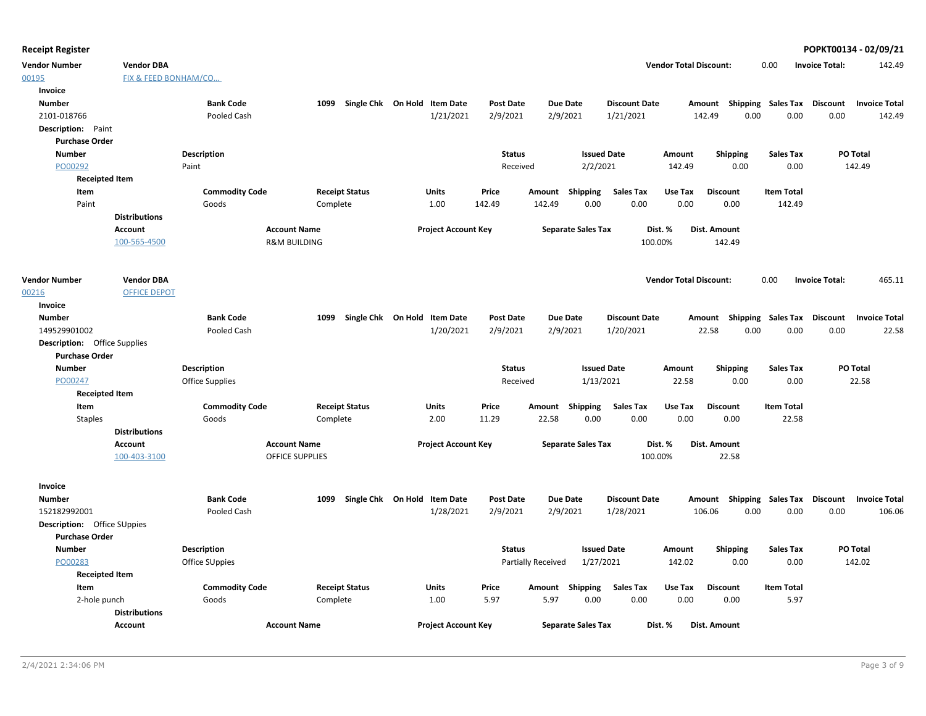| <b>Receipt Register</b>             |                      |                                |                                   |                                   |                |                             |                                  |                               |                                    |                           |                       | POPKT00134 - 02/09/21 |
|-------------------------------------|----------------------|--------------------------------|-----------------------------------|-----------------------------------|----------------|-----------------------------|----------------------------------|-------------------------------|------------------------------------|---------------------------|-----------------------|-----------------------|
| <b>Vendor Number</b>                | <b>Vendor DBA</b>    |                                |                                   |                                   |                |                             |                                  | <b>Vendor Total Discount:</b> |                                    | 0.00                      | <b>Invoice Total:</b> | 142.49                |
| 00195                               | FIX & FEED BONHAM/CO |                                |                                   |                                   |                |                             |                                  |                               |                                    |                           |                       |                       |
| Invoice                             |                      |                                |                                   |                                   |                |                             |                                  |                               |                                    |                           |                       |                       |
| <b>Number</b>                       |                      | <b>Bank Code</b>               |                                   | 1099 Single Chk On Hold Item Date | Post Date      | <b>Due Date</b>             | <b>Discount Date</b>             |                               | Amount Shipping Sales Tax Discount |                           |                       | <b>Invoice Total</b>  |
| 2101-018766                         |                      | Pooled Cash                    |                                   | 1/21/2021                         | 2/9/2021       | 2/9/2021                    | 1/21/2021                        |                               | 142.49<br>0.00                     | 0.00                      | 0.00                  | 142.49                |
| <b>Description:</b> Paint           |                      |                                |                                   |                                   |                |                             |                                  |                               |                                    |                           |                       |                       |
| <b>Purchase Order</b>               |                      |                                |                                   |                                   |                |                             |                                  |                               |                                    |                           |                       |                       |
| <b>Number</b>                       |                      | <b>Description</b>             |                                   |                                   | <b>Status</b>  |                             | <b>Issued Date</b>               | Amount                        | <b>Shipping</b>                    | <b>Sales Tax</b>          |                       | PO Total              |
| PO00292                             |                      | Paint                          |                                   |                                   | Received       |                             | 2/2/2021                         | 142.49                        | 0.00                               | 0.00                      |                       | 142.49                |
| <b>Receipted Item</b>               |                      |                                |                                   |                                   |                |                             |                                  |                               |                                    |                           |                       |                       |
| Item                                |                      | <b>Commodity Code</b>          | <b>Receipt Status</b>             | Units                             | Price          | Amount<br>Shipping          | <b>Sales Tax</b>                 | Use Tax                       | <b>Discount</b>                    | <b>Item Total</b>         |                       |                       |
| Paint                               |                      | Goods                          | Complete                          | 1.00                              | 142.49         | 142.49                      | 0.00<br>0.00                     | 0.00                          | 0.00                               | 142.49                    |                       |                       |
|                                     | <b>Distributions</b> |                                |                                   |                                   |                |                             |                                  |                               |                                    |                           |                       |                       |
|                                     | Account              |                                | <b>Account Name</b>               | <b>Project Account Key</b>        |                | <b>Separate Sales Tax</b>   |                                  | Dist. %                       | <b>Dist. Amount</b>                |                           |                       |                       |
|                                     | 100-565-4500         |                                | <b>R&amp;M BUILDING</b>           |                                   |                |                             |                                  | 100.00%                       | 142.49                             |                           |                       |                       |
|                                     |                      |                                |                                   |                                   |                |                             |                                  |                               |                                    |                           |                       |                       |
| <b>Vendor Number</b>                | <b>Vendor DBA</b>    |                                |                                   |                                   |                |                             |                                  | <b>Vendor Total Discount:</b> |                                    | 0.00                      | <b>Invoice Total:</b> | 465.11                |
| 00216                               | <b>OFFICE DEPOT</b>  |                                |                                   |                                   |                |                             |                                  |                               |                                    |                           |                       |                       |
| Invoice                             |                      |                                |                                   |                                   |                |                             |                                  |                               |                                    |                           |                       |                       |
| <b>Number</b>                       |                      | <b>Bank Code</b>               | Single Chk On Hold<br>1099        | <b>Item Date</b>                  | Post Date      | <b>Due Date</b>             | <b>Discount Date</b>             |                               | Amount Shipping Sales Tax Discount |                           |                       | <b>Invoice Total</b>  |
| 149529901002                        |                      | Pooled Cash                    |                                   | 1/20/2021                         | 2/9/2021       | 2/9/2021                    | 1/20/2021                        |                               | 0.00<br>22.58                      | 0.00                      | 0.00                  | 22.58                 |
| <b>Description:</b> Office Supplies |                      |                                |                                   |                                   |                |                             |                                  |                               |                                    |                           |                       |                       |
| <b>Purchase Order</b>               |                      |                                |                                   |                                   |                |                             |                                  |                               |                                    |                           |                       | PO Total              |
| <b>Number</b>                       |                      | <b>Description</b>             |                                   |                                   | <b>Status</b>  |                             | <b>Issued Date</b>               | Amount                        | <b>Shipping</b>                    | <b>Sales Tax</b>          |                       |                       |
| PO00247                             |                      | <b>Office Supplies</b>         |                                   |                                   | Received       |                             | 1/13/2021                        | 22.58                         | 0.00                               | 0.00                      |                       | 22.58                 |
| <b>Receipted Item</b>               |                      |                                |                                   | Units                             |                |                             |                                  |                               |                                    | <b>Item Total</b>         |                       |                       |
| Item<br><b>Staples</b>              |                      | <b>Commodity Code</b><br>Goods | <b>Receipt Status</b><br>Complete | 2.00                              | Price<br>11.29 | Shipping<br>Amount<br>22.58 | <b>Sales Tax</b><br>0.00<br>0.00 | Use Tax<br>0.00               | <b>Discount</b><br>0.00            | 22.58                     |                       |                       |
|                                     | <b>Distributions</b> |                                |                                   |                                   |                |                             |                                  |                               |                                    |                           |                       |                       |
|                                     | Account              |                                | <b>Account Name</b>               | <b>Project Account Key</b>        |                | <b>Separate Sales Tax</b>   |                                  | Dist. %                       | Dist. Amount                       |                           |                       |                       |
|                                     | 100-403-3100         |                                | <b>OFFICE SUPPLIES</b>            |                                   |                |                             |                                  | 100.00%                       | 22.58                              |                           |                       |                       |
|                                     |                      |                                |                                   |                                   |                |                             |                                  |                               |                                    |                           |                       |                       |
| Invoice                             |                      |                                |                                   |                                   |                |                             |                                  |                               |                                    |                           |                       |                       |
| Number                              |                      | <b>Bank Code</b>               | 1099                              | Single Chk On Hold Item Date      | Post Date      | <b>Due Date</b>             | <b>Discount Date</b>             |                               | Amount                             | <b>Shipping Sales Tax</b> | <b>Discount</b>       | <b>Invoice Total</b>  |
| 152182992001                        |                      | Pooled Cash                    |                                   | 1/28/2021                         | 2/9/2021       | 2/9/2021                    | 1/28/2021                        |                               | 106.06<br>0.00                     | 0.00                      | 0.00                  | 106.06                |
| <b>Description:</b> Office SUppies  |                      |                                |                                   |                                   |                |                             |                                  |                               |                                    |                           |                       |                       |
| <b>Purchase Order</b>               |                      |                                |                                   |                                   |                |                             |                                  |                               |                                    |                           |                       |                       |
| <b>Number</b>                       |                      | <b>Description</b>             |                                   |                                   | <b>Status</b>  |                             | <b>Issued Date</b>               | Amount                        | <b>Shipping</b>                    | <b>Sales Tax</b>          |                       | PO Total              |
| PO00283                             |                      | Office SUppies                 |                                   |                                   |                | Partially Received          | 1/27/2021                        | 142.02                        | 0.00                               | 0.00                      |                       | 142.02                |
| <b>Receipted Item</b>               |                      |                                |                                   |                                   |                |                             |                                  |                               |                                    | <b>Item Total</b>         |                       |                       |
| Item                                |                      | <b>Commodity Code</b><br>Goods | <b>Receipt Status</b>             | Units<br>1.00                     | Price<br>5.97  | Shipping<br>Amount<br>5.97  | <b>Sales Tax</b><br>0.00<br>0.00 | Use Tax<br>0.00               | <b>Discount</b><br>0.00            | 5.97                      |                       |                       |
| 2-hole punch                        | <b>Distributions</b> |                                | Complete                          |                                   |                |                             |                                  |                               |                                    |                           |                       |                       |
|                                     | Account              |                                | <b>Account Name</b>               | <b>Project Account Key</b>        |                | <b>Separate Sales Tax</b>   |                                  | Dist. %                       | Dist. Amount                       |                           |                       |                       |
|                                     |                      |                                |                                   |                                   |                |                             |                                  |                               |                                    |                           |                       |                       |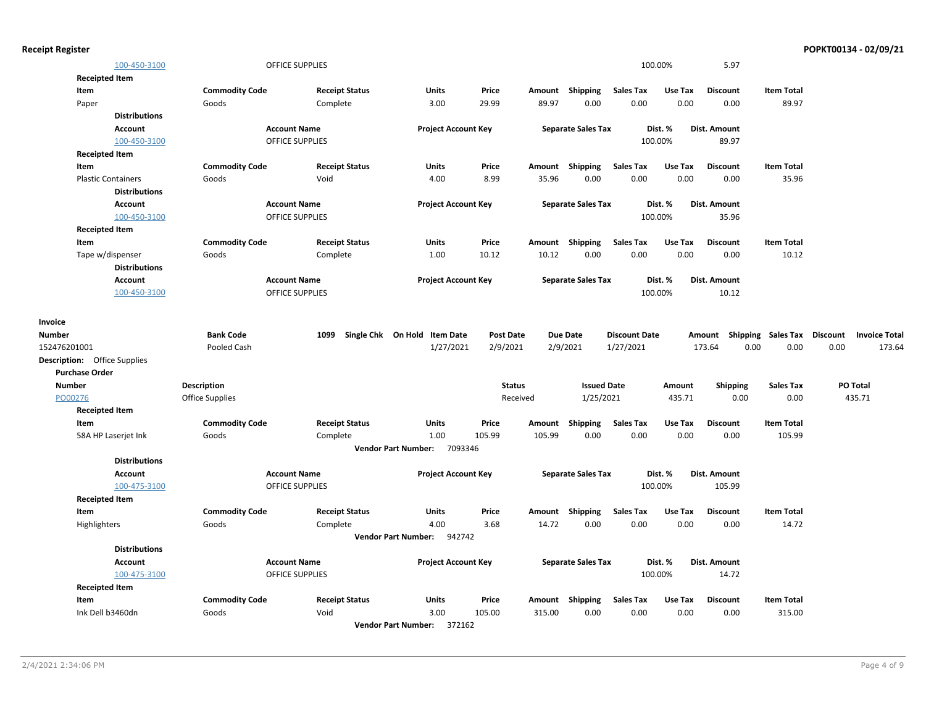|               | 100-450-3100                        |                       | <b>OFFICE SUPPLIES</b> |                              |                  |                 |                           |                      | 100.00% | 5.97            |                            |                                  |
|---------------|-------------------------------------|-----------------------|------------------------|------------------------------|------------------|-----------------|---------------------------|----------------------|---------|-----------------|----------------------------|----------------------------------|
|               | <b>Receipted Item</b>               |                       |                        |                              |                  |                 |                           |                      |         |                 |                            |                                  |
|               | Item                                | <b>Commodity Code</b> | <b>Receipt Status</b>  | <b>Units</b>                 | Price            | Amount<br>89.97 | Shipping<br>0.00          | <b>Sales Tax</b>     | Use Tax | <b>Discount</b> | <b>Item Total</b><br>89.97 |                                  |
|               | Paper                               | Goods                 | Complete               | 3.00                         | 29.99            |                 |                           | 0.00                 | 0.00    | 0.00            |                            |                                  |
|               | <b>Distributions</b>                |                       |                        |                              |                  |                 |                           |                      |         |                 |                            |                                  |
|               | <b>Account</b>                      |                       | <b>Account Name</b>    | <b>Project Account Key</b>   |                  |                 | <b>Separate Sales Tax</b> |                      | Dist. % | Dist. Amount    |                            |                                  |
|               | 100-450-3100                        |                       | <b>OFFICE SUPPLIES</b> |                              |                  |                 |                           |                      | 100.00% | 89.97           |                            |                                  |
|               | <b>Receipted Item</b>               |                       |                        |                              |                  |                 |                           |                      |         |                 |                            |                                  |
|               | Item                                | <b>Commodity Code</b> | <b>Receipt Status</b>  | <b>Units</b>                 | Price            | Amount          | Shipping                  | <b>Sales Tax</b>     | Use Tax | <b>Discount</b> | <b>Item Total</b>          |                                  |
|               | <b>Plastic Containers</b>           | Goods                 | Void                   | 4.00                         | 8.99             | 35.96           | 0.00                      | 0.00                 | 0.00    | 0.00            | 35.96                      |                                  |
|               | <b>Distributions</b>                |                       |                        |                              |                  |                 |                           |                      |         |                 |                            |                                  |
|               | <b>Account</b>                      |                       | <b>Account Name</b>    | <b>Project Account Key</b>   |                  |                 | <b>Separate Sales Tax</b> |                      | Dist. % | Dist. Amount    |                            |                                  |
|               | 100-450-3100                        |                       | <b>OFFICE SUPPLIES</b> |                              |                  |                 |                           |                      | 100.00% | 35.96           |                            |                                  |
|               | <b>Receipted Item</b>               |                       |                        |                              |                  |                 |                           |                      |         |                 |                            |                                  |
|               | Item                                | <b>Commodity Code</b> | <b>Receipt Status</b>  | Units                        | Price            |                 | Amount Shipping           | <b>Sales Tax</b>     | Use Tax | <b>Discount</b> | <b>Item Total</b>          |                                  |
|               | Tape w/dispenser                    | Goods                 | Complete               | 1.00                         | 10.12            | 10.12           | 0.00                      | 0.00                 | 0.00    | 0.00            | 10.12                      |                                  |
|               | <b>Distributions</b>                |                       |                        |                              |                  |                 |                           |                      |         |                 |                            |                                  |
|               | Account                             |                       | <b>Account Name</b>    | <b>Project Account Key</b>   |                  |                 | <b>Separate Sales Tax</b> |                      | Dist. % | Dist. Amount    |                            |                                  |
|               | 100-450-3100                        |                       | <b>OFFICE SUPPLIES</b> |                              |                  |                 |                           |                      | 100.00% | 10.12           |                            |                                  |
| Invoice       |                                     |                       |                        |                              |                  |                 |                           |                      |         |                 |                            |                                  |
| Number        |                                     | <b>Bank Code</b>      | 1099                   | Single Chk On Hold Item Date | <b>Post Date</b> |                 | <b>Due Date</b>           | <b>Discount Date</b> |         |                 | Amount Shipping Sales Tax  | Discount<br><b>Invoice Total</b> |
| 152476201001  |                                     | Pooled Cash           |                        | 1/27/2021                    | 2/9/2021         |                 | 2/9/2021                  | 1/27/2021            |         | 173.64          | 0.00<br>0.00               | 0.00<br>173.64                   |
|               | <b>Description:</b> Office Supplies |                       |                        |                              |                  |                 |                           |                      |         |                 |                            |                                  |
|               | <b>Purchase Order</b>               |                       |                        |                              |                  |                 |                           |                      |         |                 |                            |                                  |
| <b>Number</b> |                                     | Description           |                        |                              | <b>Status</b>    |                 | <b>Issued Date</b>        |                      | Amount  | Shipping        | <b>Sales Tax</b>           | PO Total                         |
| PO00276       |                                     | Office Supplies       |                        |                              | Received         |                 | 1/25/2021                 |                      | 435.71  | 0.00            | 0.00                       | 435.71                           |
|               | <b>Receipted Item</b>               |                       |                        |                              |                  |                 |                           |                      |         |                 |                            |                                  |
|               | Item                                | <b>Commodity Code</b> | <b>Receipt Status</b>  | <b>Units</b>                 | Price            | Amount          | Shipping                  | <b>Sales Tax</b>     | Use Tax | <b>Discount</b> | <b>Item Total</b>          |                                  |
|               | 58A HP Laserjet Ink                 | Goods                 | Complete               | 1.00                         | 105.99           | 105.99          | 0.00                      | 0.00                 | 0.00    | 0.00            | 105.99                     |                                  |
|               |                                     |                       |                        | Vendor Part Number: 7093346  |                  |                 |                           |                      |         |                 |                            |                                  |
|               | <b>Distributions</b>                |                       |                        |                              |                  |                 |                           |                      |         |                 |                            |                                  |
|               | Account                             |                       | <b>Account Name</b>    | <b>Project Account Key</b>   |                  |                 | <b>Separate Sales Tax</b> |                      | Dist. % | Dist. Amount    |                            |                                  |
|               | 100-475-3100                        |                       | <b>OFFICE SUPPLIES</b> |                              |                  |                 |                           |                      | 100.00% | 105.99          |                            |                                  |
|               | <b>Receipted Item</b>               |                       |                        |                              |                  |                 |                           |                      |         |                 |                            |                                  |
|               | Item                                | <b>Commodity Code</b> | <b>Receipt Status</b>  | <b>Units</b>                 | Price            | Amount          | Shipping                  | <b>Sales Tax</b>     | Use Tax | <b>Discount</b> | <b>Item Total</b>          |                                  |
|               | Highlighters                        | Goods                 | Complete               | 4.00                         | 3.68             | 14.72           | 0.00                      | 0.00                 | 0.00    | 0.00            | 14.72                      |                                  |
|               |                                     |                       |                        | Vendor Part Number: 942742   |                  |                 |                           |                      |         |                 |                            |                                  |
|               | <b>Distributions</b>                |                       |                        |                              |                  |                 |                           |                      |         |                 |                            |                                  |
|               | Account                             |                       | <b>Account Name</b>    | <b>Project Account Key</b>   |                  |                 | <b>Separate Sales Tax</b> |                      | Dist. % | Dist. Amount    |                            |                                  |
|               | 100-475-3100                        |                       | <b>OFFICE SUPPLIES</b> |                              |                  |                 |                           |                      | 100.00% | 14.72           |                            |                                  |
|               | <b>Receipted Item</b>               |                       |                        |                              |                  |                 |                           |                      |         |                 |                            |                                  |
|               | Item                                | <b>Commodity Code</b> | <b>Receipt Status</b>  | <b>Units</b>                 | Price            |                 | Amount Shipping           | <b>Sales Tax</b>     | Use Tax | <b>Discount</b> | <b>Item Total</b>          |                                  |
|               | Ink Dell b3460dn                    | Goods                 | Void                   | 3.00                         | 105.00           | 315.00          | 0.00                      | 0.00                 | 0.00    | 0.00            | 315.00                     |                                  |

**Vendor Part Number:** 372162

## **Receipt Register POPKT00134 - 02/09/21**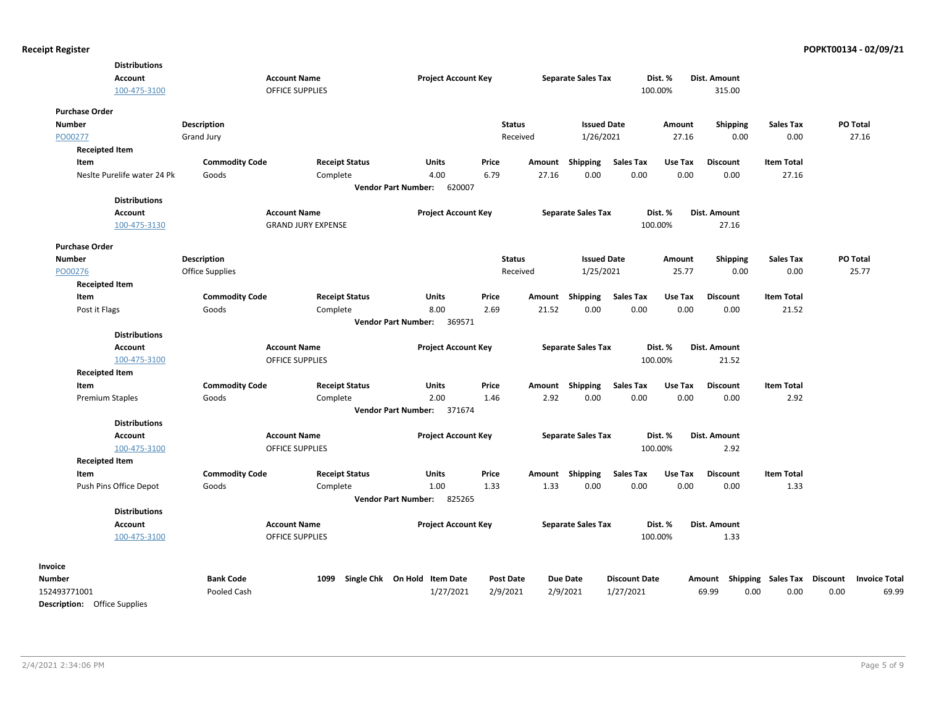| <b>Distributions</b>        |                       |                           |                                      |                  |        |                           |                      |         |                     |                    |                 |                      |
|-----------------------------|-----------------------|---------------------------|--------------------------------------|------------------|--------|---------------------------|----------------------|---------|---------------------|--------------------|-----------------|----------------------|
| <b>Account</b>              |                       | <b>Account Name</b>       | <b>Project Account Key</b>           |                  |        | <b>Separate Sales Tax</b> |                      | Dist. % | Dist. Amount        |                    |                 |                      |
| 100-475-3100                |                       | <b>OFFICE SUPPLIES</b>    |                                      |                  |        |                           |                      | 100.00% | 315.00              |                    |                 |                      |
| <b>Purchase Order</b>       |                       |                           |                                      |                  |        |                           |                      |         |                     |                    |                 |                      |
| <b>Number</b>               | Description           |                           |                                      | <b>Status</b>    |        | <b>Issued Date</b>        |                      | Amount  | Shipping            | <b>Sales Tax</b>   | PO Total        |                      |
| PO00277                     | <b>Grand Jury</b>     |                           |                                      | Received         |        | 1/26/2021                 |                      | 27.16   | 0.00                | 0.00               |                 | 27.16                |
| <b>Receipted Item</b>       |                       |                           |                                      |                  |        |                           |                      |         |                     |                    |                 |                      |
| Item                        | <b>Commodity Code</b> | <b>Receipt Status</b>     | Units                                | Price            | Amount | <b>Shipping</b>           | <b>Sales Tax</b>     | Use Tax | <b>Discount</b>     | <b>Item Total</b>  |                 |                      |
| Neslte Purelife water 24 Pk | Goods                 | Complete                  | 4.00                                 | 6.79             | 27.16  | 0.00                      | 0.00                 | 0.00    | 0.00                | 27.16              |                 |                      |
|                             |                       |                           | <b>Vendor Part Number:</b><br>620007 |                  |        |                           |                      |         |                     |                    |                 |                      |
| <b>Distributions</b>        |                       |                           |                                      |                  |        |                           |                      |         |                     |                    |                 |                      |
| <b>Account</b>              |                       | <b>Account Name</b>       | <b>Project Account Key</b>           |                  |        | <b>Separate Sales Tax</b> |                      | Dist. % | Dist. Amount        |                    |                 |                      |
| 100-475-3130                |                       | <b>GRAND JURY EXPENSE</b> |                                      |                  |        |                           |                      | 100.00% | 27.16               |                    |                 |                      |
| <b>Purchase Order</b>       |                       |                           |                                      |                  |        |                           |                      |         |                     |                    |                 |                      |
| <b>Number</b>               | Description           |                           |                                      | <b>Status</b>    |        | <b>Issued Date</b>        |                      | Amount  | <b>Shipping</b>     | <b>Sales Tax</b>   | PO Total        |                      |
| PO00276                     | Office Supplies       |                           |                                      | Received         |        | 1/25/2021                 |                      | 25.77   | 0.00                | 0.00               |                 | 25.77                |
| <b>Receipted Item</b>       |                       |                           |                                      |                  |        |                           |                      |         |                     |                    |                 |                      |
| Item                        | <b>Commodity Code</b> | <b>Receipt Status</b>     | <b>Units</b>                         | Price            | Amount | Shipping                  | <b>Sales Tax</b>     | Use Tax | <b>Discount</b>     | <b>Item Total</b>  |                 |                      |
| Post it Flags               | Goods                 | Complete                  | 8.00                                 | 2.69             | 21.52  | 0.00                      | 0.00                 | 0.00    | 0.00                | 21.52              |                 |                      |
|                             |                       |                           | <b>Vendor Part Number:</b><br>369571 |                  |        |                           |                      |         |                     |                    |                 |                      |
| <b>Distributions</b>        |                       |                           |                                      |                  |        |                           |                      |         |                     |                    |                 |                      |
| Account                     |                       | <b>Account Name</b>       | <b>Project Account Key</b>           |                  |        | <b>Separate Sales Tax</b> |                      | Dist. % | Dist. Amount        |                    |                 |                      |
| 100-475-3100                |                       | <b>OFFICE SUPPLIES</b>    |                                      |                  |        |                           |                      | 100.00% | 21.52               |                    |                 |                      |
| <b>Receipted Item</b>       |                       |                           |                                      |                  |        |                           |                      |         |                     |                    |                 |                      |
| Item                        | <b>Commodity Code</b> | <b>Receipt Status</b>     | Units                                | Price            |        | Amount Shipping           | <b>Sales Tax</b>     | Use Tax | <b>Discount</b>     | <b>Item Total</b>  |                 |                      |
| <b>Premium Staples</b>      | Goods                 | Complete                  | 2.00                                 | 1.46             | 2.92   | 0.00                      | 0.00                 | 0.00    | 0.00                | 2.92               |                 |                      |
|                             |                       |                           | Vendor Part Number: 371674           |                  |        |                           |                      |         |                     |                    |                 |                      |
| <b>Distributions</b>        |                       |                           |                                      |                  |        |                           |                      |         |                     |                    |                 |                      |
| <b>Account</b>              |                       | <b>Account Name</b>       | <b>Project Account Key</b>           |                  |        | <b>Separate Sales Tax</b> |                      | Dist. % | Dist. Amount        |                    |                 |                      |
| 100-475-3100                |                       | <b>OFFICE SUPPLIES</b>    |                                      |                  |        |                           |                      | 100.00% | 2.92                |                    |                 |                      |
| <b>Receipted Item</b>       |                       |                           |                                      |                  |        |                           |                      |         |                     |                    |                 |                      |
| Item                        | <b>Commodity Code</b> | <b>Receipt Status</b>     | Units                                | Price            | Amount | Shipping                  | <b>Sales Tax</b>     | Use Tax | <b>Discount</b>     | <b>Item Total</b>  |                 |                      |
| Push Pins Office Depot      | Goods                 | Complete                  | 1.00                                 | 1.33             | 1.33   | 0.00                      | 0.00                 | 0.00    | 0.00                | 1.33               |                 |                      |
|                             |                       |                           | 825265<br><b>Vendor Part Number:</b> |                  |        |                           |                      |         |                     |                    |                 |                      |
| <b>Distributions</b>        |                       |                           |                                      |                  |        |                           |                      |         |                     |                    |                 |                      |
| <b>Account</b>              |                       | <b>Account Name</b>       | <b>Project Account Key</b>           |                  |        | <b>Separate Sales Tax</b> |                      | Dist. % | <b>Dist. Amount</b> |                    |                 |                      |
| 100-475-3100                |                       | <b>OFFICE SUPPLIES</b>    |                                      |                  |        |                           |                      | 100.00% | 1.33                |                    |                 |                      |
| Invoice                     |                       |                           |                                      |                  |        |                           |                      |         |                     |                    |                 |                      |
| Number                      | <b>Bank Code</b>      | 1099                      | Single Chk On Hold Item Date         | <b>Post Date</b> |        | Due Date                  | <b>Discount Date</b> |         | Amount              | Shipping Sales Tax | <b>Discount</b> | <b>Invoice Total</b> |
| 152493771001                | Pooled Cash           |                           | 1/27/2021                            | 2/9/2021         |        | 2/9/2021                  | 1/27/2021            |         | 69.99<br>0.00       | 0.00               | 0.00            | 69.99                |
|                             |                       |                           |                                      |                  |        |                           |                      |         |                     |                    |                 |                      |

Description: Office Supplies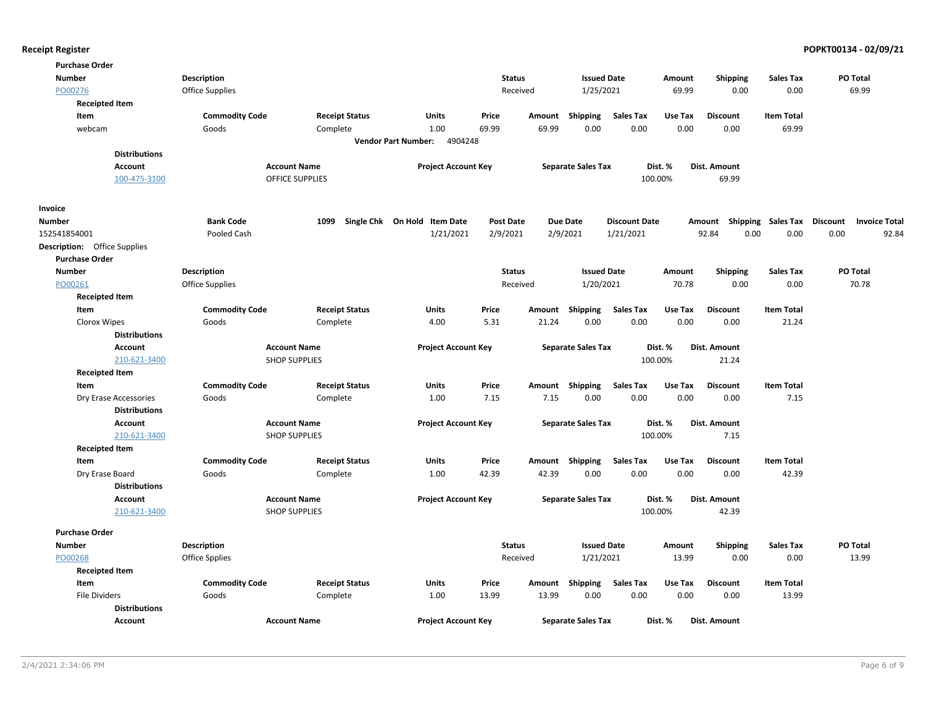| <b>Purchase Order</b>                         |                        |                        |                                       |                  |        |                           |                      |         |                     |                           |                                         |
|-----------------------------------------------|------------------------|------------------------|---------------------------------------|------------------|--------|---------------------------|----------------------|---------|---------------------|---------------------------|-----------------------------------------|
| <b>Number</b>                                 | Description            |                        |                                       | <b>Status</b>    |        | <b>Issued Date</b>        |                      | Amount  | <b>Shipping</b>     | <b>Sales Tax</b>          | PO Total                                |
| PO00276                                       | Office Supplies        |                        |                                       | Received         |        | 1/25/2021                 |                      | 69.99   | 0.00                | 0.00                      | 69.99                                   |
| <b>Receipted Item</b>                         |                        |                        |                                       |                  |        |                           |                      |         |                     |                           |                                         |
| Item                                          | <b>Commodity Code</b>  | <b>Receipt Status</b>  | Units                                 | Price            | Amount | Shipping                  | <b>Sales Tax</b>     | Use Tax | <b>Discount</b>     | <b>Item Total</b>         |                                         |
| webcam                                        | Goods                  | Complete               | 1.00                                  | 69.99            | 69.99  | 0.00                      | 0.00                 | 0.00    | 0.00                | 69.99                     |                                         |
|                                               |                        |                        | <b>Vendor Part Number:</b><br>4904248 |                  |        |                           |                      |         |                     |                           |                                         |
| <b>Distributions</b>                          |                        |                        |                                       |                  |        |                           |                      |         |                     |                           |                                         |
| Account                                       | <b>Account Name</b>    |                        | <b>Project Account Key</b>            |                  |        | <b>Separate Sales Tax</b> |                      | Dist. % | Dist. Amount        |                           |                                         |
| 100-475-3100                                  |                        | <b>OFFICE SUPPLIES</b> |                                       |                  |        |                           |                      | 100.00% | 69.99               |                           |                                         |
| Invoice                                       |                        |                        |                                       |                  |        |                           |                      |         |                     |                           |                                         |
| <b>Number</b>                                 | <b>Bank Code</b>       | 1099                   | Single Chk On Hold Item Date          | <b>Post Date</b> |        | <b>Due Date</b>           | <b>Discount Date</b> |         | Amount              | <b>Shipping Sales Tax</b> | <b>Discount</b><br><b>Invoice Total</b> |
| 152541854001                                  | Pooled Cash            |                        | 1/21/2021                             | 2/9/2021         |        | 2/9/2021                  | 1/21/2021            |         | 92.84<br>0.00       | 0.00                      | 0.00<br>92.84                           |
| <b>Description:</b> Office Supplies           |                        |                        |                                       |                  |        |                           |                      |         |                     |                           |                                         |
| <b>Purchase Order</b>                         |                        |                        |                                       |                  |        |                           |                      |         |                     |                           |                                         |
| <b>Number</b>                                 | <b>Description</b>     |                        |                                       | <b>Status</b>    |        | <b>Issued Date</b>        |                      | Amount  | <b>Shipping</b>     | <b>Sales Tax</b>          | PO Total                                |
| PO00261                                       | <b>Office Supplies</b> |                        |                                       | Received         |        | 1/20/2021                 |                      | 70.78   | 0.00                | 0.00                      | 70.78                                   |
| <b>Receipted Item</b>                         |                        |                        |                                       |                  |        |                           |                      |         |                     |                           |                                         |
| Item                                          | <b>Commodity Code</b>  | <b>Receipt Status</b>  | Units                                 | Price            | Amount | <b>Shipping</b>           | <b>Sales Tax</b>     | Use Tax | <b>Discount</b>     | <b>Item Total</b>         |                                         |
| Clorox Wipes                                  | Goods                  | Complete               | 4.00                                  | 5.31             | 21.24  | 0.00                      | 0.00                 | 0.00    | 0.00                | 21.24                     |                                         |
| <b>Distributions</b>                          |                        |                        |                                       |                  |        |                           |                      |         |                     |                           |                                         |
| Account                                       | <b>Account Name</b>    |                        | <b>Project Account Key</b>            |                  |        | <b>Separate Sales Tax</b> |                      | Dist. % | Dist. Amount        |                           |                                         |
| 210-621-3400                                  | <b>SHOP SUPPLIES</b>   |                        |                                       |                  |        |                           |                      | 100.00% | 21.24               |                           |                                         |
| <b>Receipted Item</b>                         |                        |                        |                                       |                  |        |                           |                      |         |                     |                           |                                         |
| Item                                          | <b>Commodity Code</b>  | <b>Receipt Status</b>  | Units                                 | Price            | Amount | Shipping                  | <b>Sales Tax</b>     | Use Tax | <b>Discount</b>     | <b>Item Total</b>         |                                         |
| Dry Erase Accessories<br><b>Distributions</b> | Goods                  | Complete               | 1.00                                  | 7.15             | 7.15   | 0.00                      | 0.00                 | 0.00    | 0.00                | 7.15                      |                                         |
| <b>Account</b>                                | <b>Account Name</b>    |                        | <b>Project Account Key</b>            |                  |        | <b>Separate Sales Tax</b> |                      | Dist. % | <b>Dist. Amount</b> |                           |                                         |
| 210-621-3400                                  | <b>SHOP SUPPLIES</b>   |                        |                                       |                  |        |                           |                      | 100.00% | 7.15                |                           |                                         |
| <b>Receipted Item</b>                         |                        |                        |                                       |                  |        |                           |                      |         |                     |                           |                                         |
| Item                                          | <b>Commodity Code</b>  | <b>Receipt Status</b>  | <b>Units</b>                          | Price            | Amount | Shipping                  | <b>Sales Tax</b>     | Use Tax | <b>Discount</b>     | <b>Item Total</b>         |                                         |
| Dry Erase Board                               | Goods                  | Complete               | 1.00                                  | 42.39            | 42.39  | 0.00                      | 0.00                 | 0.00    | 0.00                | 42.39                     |                                         |
| <b>Distributions</b>                          |                        |                        |                                       |                  |        |                           |                      |         |                     |                           |                                         |
| <b>Account</b>                                | <b>Account Name</b>    |                        | <b>Project Account Key</b>            |                  |        | <b>Separate Sales Tax</b> |                      | Dist. % | <b>Dist. Amount</b> |                           |                                         |
| 210-621-3400                                  | <b>SHOP SUPPLIES</b>   |                        |                                       |                  |        |                           |                      | 100.00% | 42.39               |                           |                                         |
| <b>Purchase Order</b>                         |                        |                        |                                       |                  |        |                           |                      |         |                     |                           |                                         |
| <b>Number</b>                                 | Description            |                        |                                       | <b>Status</b>    |        | <b>Issued Date</b>        |                      | Amount  | <b>Shipping</b>     | <b>Sales Tax</b>          | PO Total                                |
| PO00268                                       | Office Spplies         |                        |                                       | Received         |        | 1/21/2021                 |                      | 13.99   | 0.00                | 0.00                      | 13.99                                   |
| <b>Receipted Item</b>                         |                        |                        |                                       |                  |        |                           |                      |         |                     |                           |                                         |
| Item                                          | <b>Commodity Code</b>  | <b>Receipt Status</b>  | <b>Units</b>                          | Price            | Amount | <b>Shipping</b>           | <b>Sales Tax</b>     | Use Tax | <b>Discount</b>     | <b>Item Total</b>         |                                         |
| <b>File Dividers</b>                          | Goods                  | Complete               | 1.00                                  | 13.99            | 13.99  | 0.00                      | 0.00                 | 0.00    | 0.00                | 13.99                     |                                         |
| <b>Distributions</b>                          |                        |                        |                                       |                  |        |                           |                      |         |                     |                           |                                         |
| Account                                       | <b>Account Name</b>    |                        | <b>Project Account Key</b>            |                  |        | <b>Separate Sales Tax</b> |                      | Dist. % | Dist. Amount        |                           |                                         |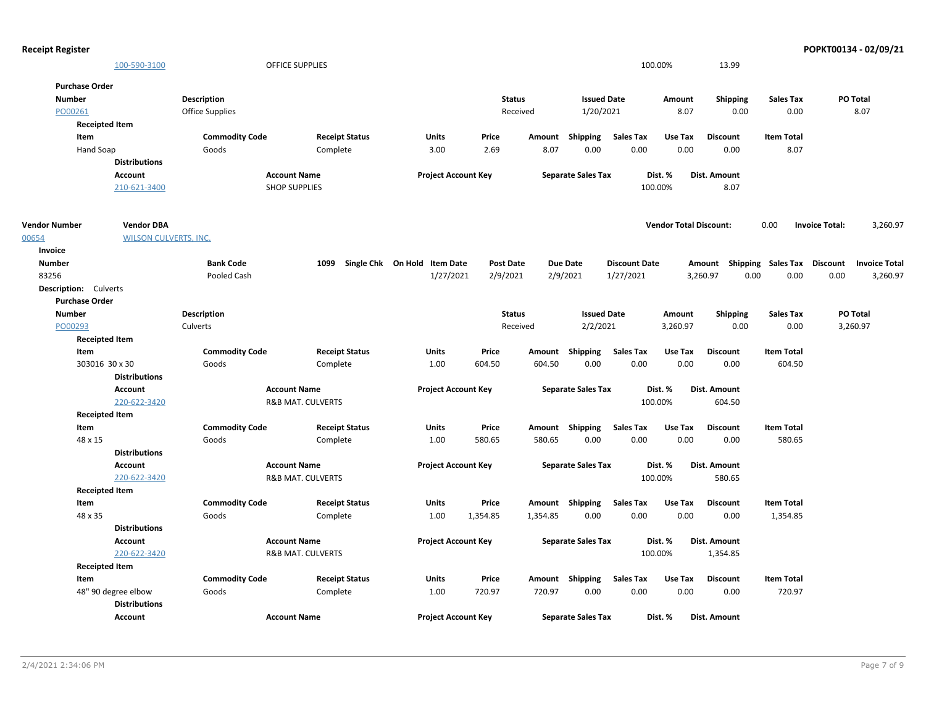| <b>Receipt Register</b> |                              |                        |                              |                              |                  |          |                           |                      |                               |                        |      |                    |                       | POPKT00134 - 02/09/21 |
|-------------------------|------------------------------|------------------------|------------------------------|------------------------------|------------------|----------|---------------------------|----------------------|-------------------------------|------------------------|------|--------------------|-----------------------|-----------------------|
|                         | 100-590-3100                 |                        | OFFICE SUPPLIES              |                              |                  |          |                           | 100.00%              |                               | 13.99                  |      |                    |                       |                       |
| <b>Purchase Order</b>   |                              |                        |                              |                              |                  |          |                           |                      |                               |                        |      |                    |                       |                       |
| <b>Number</b>           |                              | <b>Description</b>     |                              |                              | <b>Status</b>    |          | <b>Issued Date</b>        |                      | Amount                        | Shipping               |      | <b>Sales Tax</b>   |                       | PO Total              |
| PO00261                 |                              | <b>Office Supplies</b> |                              |                              | Received         |          | 1/20/2021                 |                      | 8.07                          |                        | 0.00 | 0.00               |                       | 8.07                  |
| <b>Receipted Item</b>   |                              |                        |                              |                              |                  |          |                           |                      |                               |                        |      |                    |                       |                       |
| Item                    |                              | <b>Commodity Code</b>  | <b>Receipt Status</b>        | Units                        | Price            | Amount   | Shipping                  | <b>Sales Tax</b>     | Use Tax                       | <b>Discount</b>        |      | <b>Item Total</b>  |                       |                       |
| Hand Soap               |                              | Goods                  | Complete                     | 3.00                         | 2.69             | 8.07     | 0.00                      | 0.00                 | 0.00                          | 0.00                   |      | 8.07               |                       |                       |
|                         | <b>Distributions</b>         |                        |                              |                              |                  |          |                           |                      |                               |                        |      |                    |                       |                       |
|                         | <b>Account</b>               | <b>Account Name</b>    |                              | <b>Project Account Key</b>   |                  |          | <b>Separate Sales Tax</b> |                      | Dist. %                       | Dist. Amount           |      |                    |                       |                       |
|                         | 210-621-3400                 | <b>SHOP SUPPLIES</b>   |                              |                              |                  |          |                           | 100.00%              |                               | 8.07                   |      |                    |                       |                       |
|                         |                              |                        |                              |                              |                  |          |                           |                      |                               |                        |      |                    |                       |                       |
| <b>Vendor Number</b>    | <b>Vendor DBA</b>            |                        |                              |                              |                  |          |                           |                      | <b>Vendor Total Discount:</b> |                        |      | 0.00               | <b>Invoice Total:</b> | 3,260.97              |
| 00654                   | <b>WILSON CULVERTS, INC.</b> |                        |                              |                              |                  |          |                           |                      |                               |                        |      |                    |                       |                       |
| Invoice                 |                              |                        |                              |                              |                  |          |                           |                      |                               |                        |      |                    |                       |                       |
| <b>Number</b>           |                              | <b>Bank Code</b>       | 1099                         | Single Chk On Hold Item Date | <b>Post Date</b> |          | <b>Due Date</b>           | <b>Discount Date</b> |                               | Amount                 |      | Shipping Sales Tax | <b>Discount</b>       | <b>Invoice Total</b>  |
| 83256                   |                              | Pooled Cash            |                              | 1/27/2021                    | 2/9/2021         |          | 2/9/2021                  | 1/27/2021            |                               | 3,260.97               | 0.00 | 0.00               | 0.00                  | 3,260.97              |
| Description: Culverts   |                              |                        |                              |                              |                  |          |                           |                      |                               |                        |      |                    |                       |                       |
| <b>Purchase Order</b>   |                              |                        |                              |                              |                  |          |                           |                      |                               |                        |      |                    |                       |                       |
| <b>Number</b>           |                              | <b>Description</b>     |                              |                              | <b>Status</b>    |          | <b>Issued Date</b>        |                      | Amount                        | <b>Shipping</b>        |      | <b>Sales Tax</b>   |                       | PO Total              |
| PO00293                 |                              | Culverts               |                              |                              | Received         |          | 2/2/2021                  |                      | 3,260.97                      |                        | 0.00 | 0.00               |                       | 3,260.97              |
| <b>Receipted Item</b>   |                              |                        |                              |                              |                  |          |                           |                      |                               |                        |      |                    |                       |                       |
| Item                    |                              | <b>Commodity Code</b>  | <b>Receipt Status</b>        | Units                        | Price            |          | Amount Shipping           | <b>Sales Tax</b>     | Use Tax                       | <b>Discount</b>        |      | <b>Item Total</b>  |                       |                       |
|                         | 303016 30 x 30               | Goods                  | Complete                     | 1.00                         | 604.50           | 604.50   | 0.00                      | 0.00                 | 0.00                          | 0.00                   |      | 604.50             |                       |                       |
|                         | <b>Distributions</b>         |                        |                              |                              |                  |          |                           |                      |                               |                        |      |                    |                       |                       |
|                         | Account<br>220-622-3420      | <b>Account Name</b>    | <b>R&amp;B MAT. CULVERTS</b> | <b>Project Account Key</b>   |                  |          | <b>Separate Sales Tax</b> | 100.00%              | Dist. %                       | Dist. Amount<br>604.50 |      |                    |                       |                       |
| <b>Receipted Item</b>   |                              |                        |                              |                              |                  |          |                           |                      |                               |                        |      |                    |                       |                       |
| Item                    |                              | <b>Commodity Code</b>  | <b>Receipt Status</b>        | Units                        | Price            |          | Amount Shipping           | <b>Sales Tax</b>     | Use Tax                       | <b>Discount</b>        |      | <b>Item Total</b>  |                       |                       |
| 48 x 15                 |                              | Goods                  | Complete                     | 1.00                         | 580.65           | 580.65   | 0.00                      | 0.00                 | 0.00                          | 0.00                   |      | 580.65             |                       |                       |
|                         | <b>Distributions</b>         |                        |                              |                              |                  |          |                           |                      |                               |                        |      |                    |                       |                       |
|                         | <b>Account</b>               | <b>Account Name</b>    |                              | <b>Project Account Key</b>   |                  |          | <b>Separate Sales Tax</b> |                      | Dist. %                       | Dist. Amount           |      |                    |                       |                       |
|                         | 220-622-3420                 |                        | <b>R&amp;B MAT. CULVERTS</b> |                              |                  |          |                           | 100.00%              |                               | 580.65                 |      |                    |                       |                       |
| <b>Receipted Item</b>   |                              |                        |                              |                              |                  |          |                           |                      |                               |                        |      |                    |                       |                       |
| Item                    |                              | <b>Commodity Code</b>  | <b>Receipt Status</b>        | Units                        | Price            |          | Amount Shipping           | <b>Sales Tax</b>     | Use Tax                       | <b>Discount</b>        |      | <b>Item Total</b>  |                       |                       |
| 48 x 35                 |                              | Goods                  | Complete                     | 1.00                         | 1,354.85         | 1,354.85 | 0.00                      | 0.00                 | 0.00                          | 0.00                   |      | 1,354.85           |                       |                       |
|                         | <b>Distributions</b>         |                        |                              |                              |                  |          |                           |                      |                               |                        |      |                    |                       |                       |
|                         | Account                      | <b>Account Name</b>    |                              | <b>Project Account Key</b>   |                  |          | <b>Separate Sales Tax</b> |                      | Dist. %                       | Dist. Amount           |      |                    |                       |                       |
|                         | 220-622-3420                 |                        | <b>R&amp;B MAT. CULVERTS</b> |                              |                  |          |                           | 100.00%              |                               | 1,354.85               |      |                    |                       |                       |
| <b>Receipted Item</b>   |                              |                        |                              |                              |                  |          |                           |                      |                               |                        |      |                    |                       |                       |
| Item                    |                              | <b>Commodity Code</b>  | <b>Receipt Status</b>        | <b>Units</b>                 | Price            |          | Amount Shipping           | <b>Sales Tax</b>     | Use Tax                       | <b>Discount</b>        |      | <b>Item Total</b>  |                       |                       |
|                         | 48" 90 degree elbow          | Goods                  | Complete                     | 1.00                         | 720.97           | 720.97   | 0.00                      | 0.00                 | 0.00                          | 0.00                   |      | 720.97             |                       |                       |
|                         | <b>Distributions</b>         |                        |                              |                              |                  |          |                           |                      |                               |                        |      |                    |                       |                       |
|                         | <b>Account</b>               | <b>Account Name</b>    |                              | <b>Project Account Key</b>   |                  |          | <b>Separate Sales Tax</b> |                      | Dist. %                       | Dist. Amount           |      |                    |                       |                       |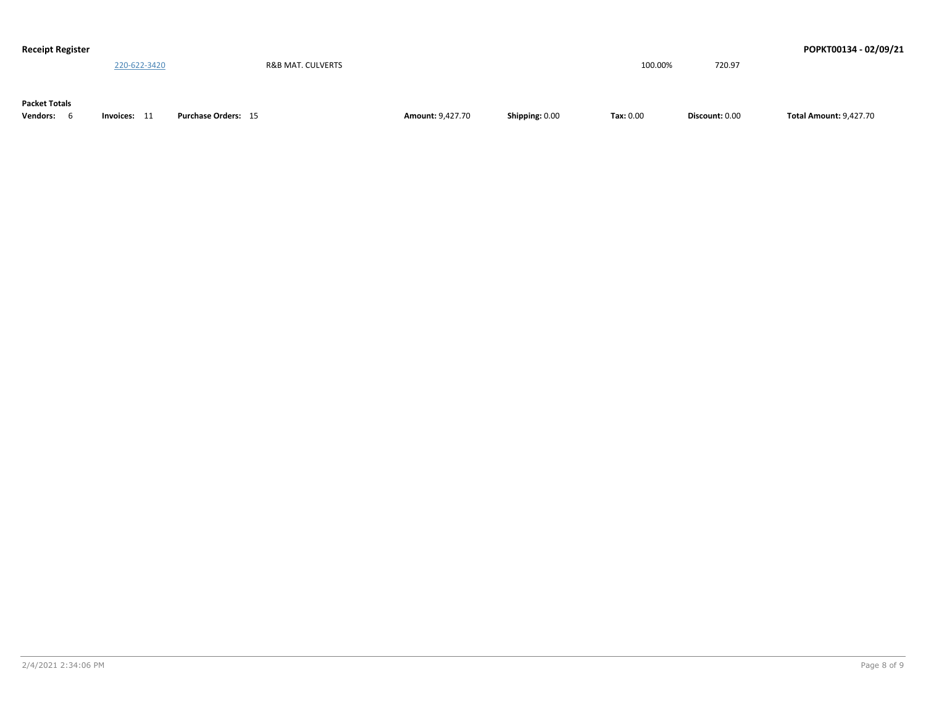| <b>Receipt Register</b> |              |                            |                         |                |           |                | POPKT00134 - 02/09/21         |
|-------------------------|--------------|----------------------------|-------------------------|----------------|-----------|----------------|-------------------------------|
|                         | 220-622-3420 | R&B MAT. CULVERTS          |                         |                | 100.00%   | 720.97         |                               |
|                         |              |                            |                         |                |           |                |                               |
|                         |              |                            |                         |                |           |                |                               |
| <b>Packet Totals</b>    |              |                            |                         |                |           |                |                               |
| <b>Vendors:</b>         | Invoices: 11 | <b>Purchase Orders: 15</b> | <b>Amount: 9,427.70</b> | Shipping: 0.00 | Tax: 0.00 | Discount: 0.00 | <b>Total Amount: 9,427.70</b> |